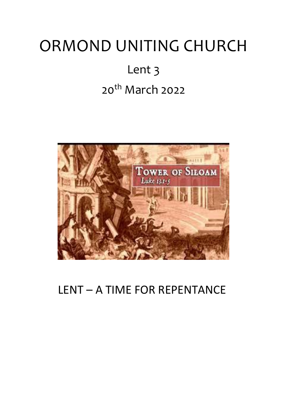# ORMOND UNITING CHURCH

# Lent 3 20<sup>th</sup> March 2022



# LENT – A TIME FOR REPENTANCE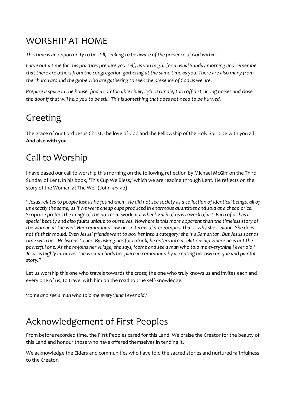## WORSHIP AT HOME

*This time is an opportunity to be still, seeking to be aware of the presence of God within.*

*Carve out a time for this practice; prepare yourself, as you might for a usual Sunday morning and remember that there are others from the congregation gathering at the same time as you. There are also many from the church around the globe who are gathering to seek the presence of God as we are.*

*Prepare a space in the house; find a comfortable chair, light a candle, turn off distracting noises and close the door if that will help you to be still. This is something that does not need to be hurried.*

# Greeting

The grace of our Lord Jesus Christ, the love of God and the Fellowship of the Holy Spirit be with you all **And also with you**

# Call to Worship

I have based our call to worship this morning on the following reflection by Michael McGirr on the Third Sunday of Lent, in his book, 'This Cup We Bless,' which we are reading through Lent. He reflects on the story of the Woman at The Well (John 4:5-42)

*"Jesus relates to people just as he found them. He did not see society as a collection of identical beings, all of us exactly the same, as if we were cheap cups produced in enormous quantities and sold at a cheap price. Scripture prefers the image of the potter at work at a wheel. Each of us is a work of art. Each of us has a special beauty and also faults unique to ourselves. Nowhere is this more apparent than the timeless story of the woman at the well. Her community saw her in terms of stereotypes. That is why she is alone. She does not fit their mould. Even Jesus' friends want to box her into a category: she is a Samaritan. But Jesus spends time with her. He listens to her. By asking her for a drink, he enters into a relationship where he is not the powerful one. As she re-joins her village, she says, 'come and see a man who told me everything I ever did.' Jesus is highly intuitive. The woman finds her place in community by accepting her own unique and painful story."*

Let us worship this one who travels towards the cross; the one who truly knows us and invites each and every one of us, to travel with him on the road to true self-knowledge.

*'come and see a man who told me everything I ever did.'*

# Acknowledgement of First Peoples

From before recorded time, the First Peoples cared for this Land. We praise the Creator for the beauty of this Land and honour those who have offered themselves in tending it.

We acknowledge the Elders and communities who have told the sacred stories and nurtured faithfulness to the Creator.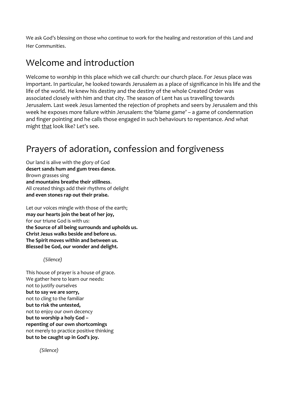We ask God's blessing on those who continue to work for the healing and restoration of this Land and Her Communities.

## Welcome and introduction

Welcome to worship in this place which we call church: our church place. For Jesus place was important. In particular, he looked towards Jerusalem as a place of significance in his life and the life of the world. He knew his destiny and the destiny of the whole Created Order was associated closely with him and that city. The season of Lent has us travelling towards Jerusalem. Last week Jesus lamented the rejection of prophets and seers by Jerusalem and this week he exposes more failure within Jerusalem: the 'blame game' – a game of condemnation and finger pointing and he calls those engaged in such behaviours to repentance. And what might that look like? Let's see.

# Prayers of adoration, confession and forgiveness

Our land is alive with the glory of God **desert sands hum and gum trees dance.** Brown grasses sing **and mountains breathe their stillness**. All created things add their rhythms of delight **and even stones rap out their praise.**

Let our voices mingle with those of the earth; **may our hearts join the beat of her joy,** for our triune God is with us: **the Source of all being surrounds and upholds us. Christ Jesus walks beside and before us. The Spirit moves within and between us. Blessed be God, our wonder and delight.**

*(Silence)*

This house of prayer is a house of grace. We gather here to learn our needs: not to justify ourselves **but to say we are sorry,** not to cling to the familiar **but to risk the untested,** not to enjoy our own decency **but to worship a holy God – repenting of our own shortcomings** not merely to practice positive thinking **but to be caught up in God's joy.**

*(Silence)*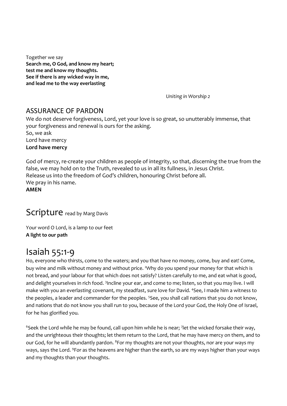Together we say **Search me, O God, and know my heart; test me and know my thoughts. See if there is any wicked way in me, and lead me to the way everlasting** 

 *Uniting in Worship 2*

#### ASSURANCE OF PARDON

We do not deserve forgiveness, Lord, yet your love is so great, so unutterably immense, that your forgiveness and renewal is ours for the asking. So, we ask Lord have mercy **Lord have mercy**

God of mercy, re-create your children as people of integrity, so that, discerning the true from the false, we may hold on to the Truth, revealed to us in all its fullness, in Jesus Christ. Release us into the freedom of God's children, honouring Christ before all. We pray in his name. **AMEN**

## Scripture read by Marg Davis

Your word O Lord, is a lamp to our feet **A light to our path**

## Isaiah 55:1-9

Ho, everyone who thirsts, come to the waters; and you that have no money, come, buy and eat! Come, buy wine and milk without money and without price. <sup>2</sup>Why do you spend your money for that which is not bread, and your labour for that which does not satisfy? Listen carefully to me, and eat what is good, and delight yourselves in rich food. <sup>3</sup>Incline your ear, and come to me; listen, so that you may live. I will make with you an everlasting covenant, my steadfast, sure love for David. <sup>4</sup>See, I made him a witness to the peoples, a leader and commander for the peoples. <sup>5</sup>See, you shall call nations that you do not know, and nations that do not know you shall run to you, because of the Lord your God, the Holy One of Israel, for he has glorified you.

 $6$ Seek the Lord while he may be found, call upon him while he is near; 7let the wicked forsake their way, and the unrighteous their thoughts; let them return to the Lord, that he may have mercy on them, and to our God, for he will abundantly pardon. <sup>8</sup>For my thoughts are not your thoughts, nor are your ways my ways, says the Lord. <sup>9</sup>For as the heavens are higher than the earth, so are my ways higher than your ways and my thoughts than your thoughts.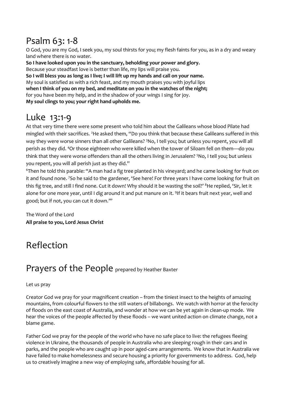# Psalm 63: 1-8

O God, you are my God, I seek you, my soul thirsts for you; my flesh faints for you, as in a dry and weary land where there is no water.

**So I have looked upon you in the sanctuary, beholding your power and glory.** Because your steadfast love is better than life, my lips will praise you. **So I will bless you as long as I live; I will lift up my hands and call on your name.** My soul is satisfied as with a rich feast, and my mouth praises you with joyful lips **when I think of you on my bed, and meditate on you in the watches of the night;** for you have been my help, and in the shadow of your wings I sing for joy. **My soul clings to you; your right hand upholds me.**

# Luke 13:1-9

At that very time there were some present who told him about the Galileans whose blood Pilate had mingled with their sacrifices. <sup>2</sup>He asked them, "Do you think that because these Galileans suffered in this way they were worse sinners than all other Galileans? <sup>3</sup>No, I tell you; but unless you repent, you will all perish as they did. <sup>4</sup>Or those eighteen who were killed when the tower of Siloam fell on them—do you think that they were worse offenders than all the others living in Jerusalem? <sup>5</sup>No, I tell you; but unless you repent, you will all perish just as they did."

<sup>6</sup>Then he told this parable: "A man had a fig tree planted in his vineyard; and he came looking for fruit on it and found none. <sup>7</sup>So he said to the gardener, 'See here! For three years I have come looking for fruit on this fig tree, and still I find none. Cut it down! Why should it be wasting the soil?' <sup>8</sup>He replied, 'Sir, let it alone for one more year, until I dig around it and put manure on it. <sup>9</sup>If it bears fruit next year, well and good; but if not, you can cut it down.'"

The Word of the Lord **All praise to you, Lord Jesus Christ**

# Reflection

## Prayers of the People prepared by Heather Baxter

#### Let us pray

Creator God we pray for your magnificent creation – from the tiniest insect to the heights of amazing mountains, from colourful flowers to the still waters of billabongs. We watch with horror at the ferocity of floods on the east coast of Australia, and wonder at how we can be yet again in clean-up mode. We hear the voices of the people affected by these floods – we want united action on climate change, not a blame game.

Father God we pray for the people of the world who have no safe place to live: the refugees fleeing violence in Ukraine, the thousands of people in Australia who are sleeping rough in their cars and in parks, and the people who are caught up in poor aged-care arrangements. We know that in Australia we have failed to make homelessness and secure housing a priority for governments to address. God, help us to creatively imagine a new way of employing safe, affordable housing for all.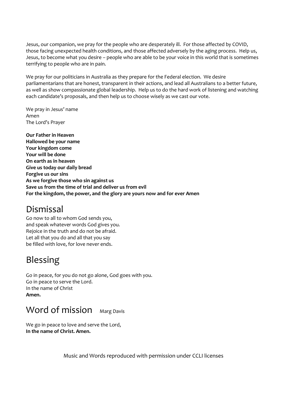Jesus, our companion, we pray for the people who are desperately ill. For those affected by COVID, those facing unexpected health conditions, and those affected adversely by the aging process. Help us, Jesus, to become what you desire – people who are able to be your voice in this world that is sometimes terrifying to people who are in pain.

We pray for our politicians in Australia as they prepare for the Federal election. We desire parliamentarians that are honest, transparent in their actions, and lead all Australians to a better future, as well as show compassionate global leadership. Help us to do the hard work of listening and watching each candidate's proposals, and then help us to choose wisely as we cast our vote.

We pray in Jesus' name Amen The Lord's Prayer

**Our Father in Heaven Hallowed be your name Your kingdom come Your will be done On earth as in heaven Give us today our daily bread Forgive us our sins As we forgive those who sin against us Save us from the time of trial and deliver us from evil For the kingdom, the power, and the glory are yours now and for ever Amen**

## Dismissal

Go now to all to whom God sends you, and speak whatever words God gives you. Rejoice in the truth and do not be afraid. Let all that you do and all that you say be filled with love, for love never ends.

# Blessing

Go in peace, for you do not go alone, God goes with you. Go in peace to serve the Lord. In the name of Christ **Amen.**

## Word of mission Marg Davis

We go in peace to love and serve the Lord, **In the name of Christ. Amen.**

Music and Words reproduced with permission under CCLI licenses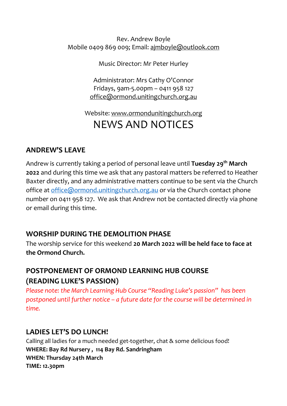Rev. Andrew Boyle Mobile 0409 869 009; Email: [ajmboyle@outlook.com](mailto:ajmboyle@outlook.com)

Music Director: Mr Peter Hurley

Administrator: Mrs Cathy O'Connor Fridays, 9am-5.00pm – 0411 958 127 [office@ormond.unitingchurch.org.au](mailto:office@ormond.unitingchurch.org.au)

## Website: [www.ormondunitingchurch.org](http://www.ormondunitingchurch.org/) NEWS AND NOTICES

## **ANDREW'S LEAVE**

Andrew is currently taking a period of personal leave until **Tuesday 29th March 2022** and during this time we ask that any pastoral matters be referred to Heather Baxter directly, and any administrative matters continue to be sent via the Church office at [office@ormond.unitingchurch.org.au](mailto:office@ormond.unitingchurch.org.au) or via the Church contact phone number on 0411 958 127. We ask that Andrew not be contacted directly via phone or email during this time.

### **WORSHIP DURING THE DEMOLITION PHASE**

The worship service for this weekend **20 March 2022 will be held face to face at the Ormond Church.**

## **POSTPONEMENT OF ORMOND LEARNING HUB COURSE (READING LUKE'S PASSION)**

*Please note: the March Learning Hub Course "Reading Luke's passion" has been postponed until further notice – a future date for the course will be determined in time.* 

### **LADIES LET'S DO LUNCH!**

Calling all ladies for a much needed get-together, chat & some delicious food! **WHERE: Bay Rd Nursery , 114 Bay Rd. Sandringham WHEN: Thursday 24th March TIME: 12.30pm**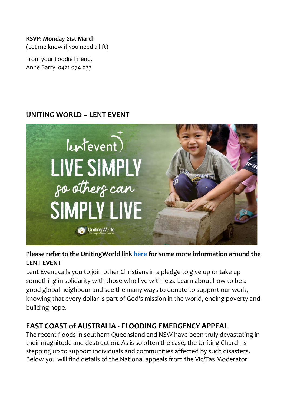#### **RSVP: Monday 21st March**

(Let me know if you need a lift)

From your Foodie Friend, Anne Barry 0421 074 033

## **UNITING WORLD – LENT EVENT**



#### **Please refer to the UnitingWorld link [here](https://unitingworld.org.au/two-ways-to-learn-and-grow-in-2022/) for some more information around the LENT EVENT**

Lent Event calls you to join other Christians in a pledge to give up or take up something in solidarity with those who live with less. Learn about how to be a good global neighbour and see the many ways to donate to support our work, knowing that every dollar is part of God's mission in the world, ending poverty and building hope.

### **EAST COAST of AUSTRALIA - FLOODING EMERGENCY APPEAL**

The recent floods in southern Queensland and NSW have been truly devastating in their magnitude and destruction. As is so often the case, the Uniting Church is stepping up to support individuals and communities affected by such disasters. Below you will find details of the National appeals from the Vic/Tas Moderator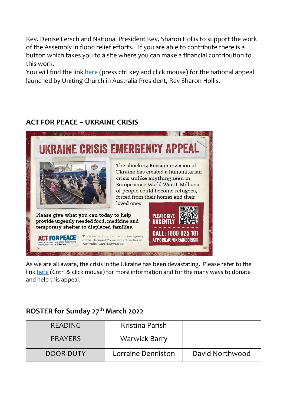Rev. Denise Lersch and National President Rev. Sharon Hollis to support the work of the Assembly in flood relief efforts. If you are able to contribute there is a button which takes you to a site where you can make a financial contribution to this work.

You will find the link [here](https://uniting.church/east-coast-flooding-emergency-appeal/) (press ctrl key and click mouse) for the national appeal launched by Uniting Church in Australia President, Rev Sharon Hollis.

## **ACT FOR PEACE – UKRAINE CRISIS**



As we are all aware, the crisis in the Ukraine has been devastating. Please refer to the link [here](https://actforpeace.org.au/take-action/churches/helpukraine-church/?utm_campaign=EM22-MAR-UKR-eDM1-CH&utm_medium=Email&utm_source=ac) (Cntrl & click mouse) for more information and for the many ways to donate and help this appeal.

### **ROSTER for Sunday 27 th March 2022**

| READING        | Kristina Parish      |                 |
|----------------|----------------------|-----------------|
| <b>PRAYERS</b> | <b>Warwick Barry</b> |                 |
| DOOR DUTY      | Lorraine Denniston   | David Northwood |